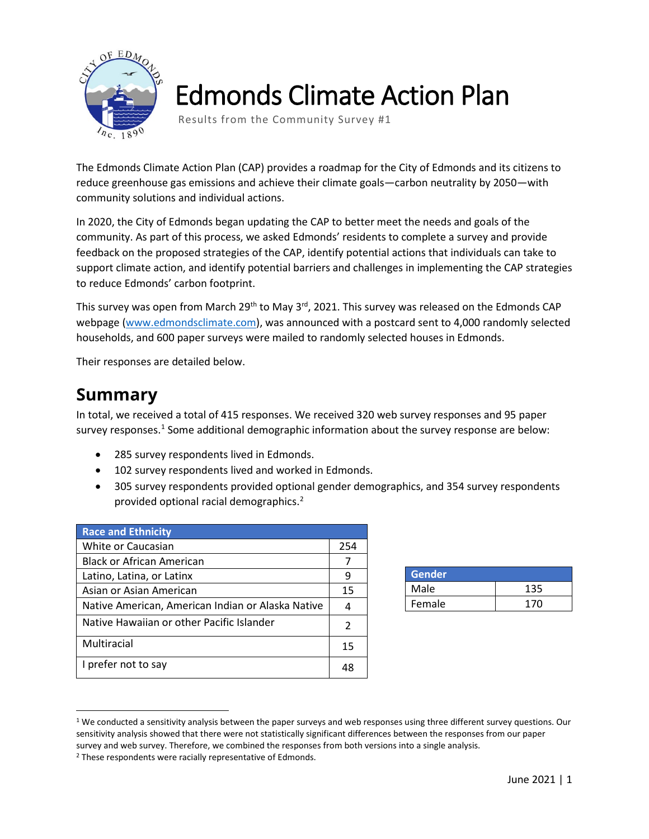

# Edmonds Climate Action Plan

Results from the Community Survey #1

The Edmonds Climate Action Plan (CAP) provides a roadmap for the City of Edmonds and its citizens to reduce greenhouse gas emissions and achieve their climate goals—carbon neutrality by 2050—with community solutions and individual actions.

In 2020, the City of Edmonds began updating the CAP to better meet the needs and goals of the community. As part of this process, we asked Edmonds' residents to complete a survey and provide feedback on the proposed strategies of the CAP, identify potential actions that individuals can take to support climate action, and identify potential barriers and challenges in implementing the CAP strategies to reduce Edmonds' carbon footprint.

This survey was open from March 29<sup>th</sup> to May 3<sup>rd</sup>, 2021. This survey was released on the Edmonds CAP webpage [\(www.edmondsclimate.com\)](http://www.edmondsclimate.com/), was announced with a postcard sent to 4,000 randomly selected households, and 600 paper surveys were mailed to randomly selected houses in Edmonds.

Their responses are detailed below.

# **Summary**

In total, we received a total of 415 responses. We received 320 web survey responses and 95 paper survey responses.<sup>[1](#page-0-0)</sup> Some additional demographic information about the survey response are below:

- 285 survey respondents lived in Edmonds.
- 102 survey respondents lived and worked in Edmonds.
- 305 survey respondents provided optional gender demographics, and 354 survey respondents provided optional racial demographics. [2](#page-0-1)

| <b>Race and Ethnicity</b>                         |     |
|---------------------------------------------------|-----|
| White or Caucasian                                | 254 |
| Black or African American                         | 7   |
| Latino, Latina, or Latinx                         | 9   |
| Asian or Asian American                           | 15  |
| Native American, American Indian or Alaska Native | 4   |
| Native Hawaiian or other Pacific Islander         | 2   |
| Multiracial                                       | 15  |
| I prefer not to say                               | 48  |

| Gender <sup>'</sup> |     |
|---------------------|-----|
| Male                | 135 |
| Female              | 170 |

<span id="page-0-0"></span> $1$  We conducted a sensitivity analysis between the paper surveys and web responses using three different survey questions. Our sensitivity analysis showed that there were not statistically significant differences between the responses from our paper survey and web survey. Therefore, we combined the responses from both versions into a single analysis.  $2$  These respondents were racially representative of Edmonds.

<span id="page-0-1"></span>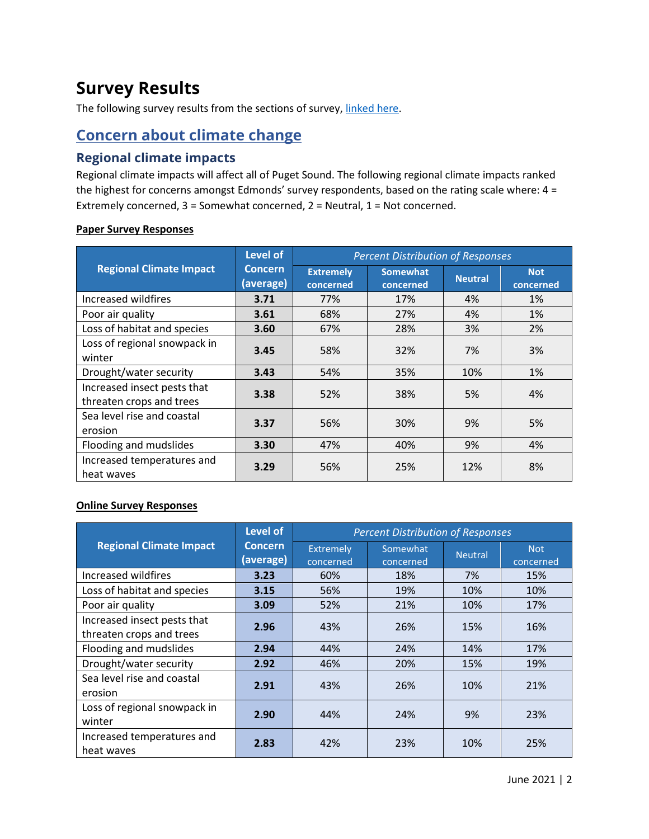# **Survey Results**

The following survey results from the sections of survey, [linked here.](https://a4504e0a-bf52-42da-9496-ba664a077eba.filesusr.com/ugd/09fdff_7da1badcceee4bed8a32236979d116d0.pdf)

# **Concern about climate change**

### **Regional climate impacts**

Regional climate impacts will affect all of Puget Sound. The following regional climate impacts ranked the highest for concerns amongst Edmonds' survey respondents, based on the rating scale where: 4 = Extremely concerned, 3 = Somewhat concerned, 2 = Neutral, 1 = Not concerned.

|                                                         | <b>Level of</b>             | <b>Percent Distribution of Responses</b> |                              |                |                         |  |
|---------------------------------------------------------|-----------------------------|------------------------------------------|------------------------------|----------------|-------------------------|--|
| <b>Regional Climate Impact</b>                          | <b>Concern</b><br>(average) | <b>Extremely</b><br>concerned            | <b>Somewhat</b><br>concerned | <b>Neutral</b> | <b>Not</b><br>concerned |  |
| Increased wildfires                                     | 3.71                        | 77%                                      | 17%                          | 4%             | 1%                      |  |
| Poor air quality                                        | 3.61                        | 68%                                      | 27%                          | 4%             | 1%                      |  |
| Loss of habitat and species                             | 3.60                        | 67%                                      | 28%                          | 3%             | 2%                      |  |
| Loss of regional snowpack in<br>winter                  | 3.45                        | 58%                                      | 32%                          | 7%             | 3%                      |  |
| Drought/water security                                  | 3.43                        | 54%                                      | 35%                          | 10%            | 1%                      |  |
| Increased insect pests that<br>threaten crops and trees | 3.38                        | 52%                                      | 38%                          | 5%             | 4%                      |  |
| Sea level rise and coastal<br>erosion                   | 3.37                        | 56%                                      | 30%                          | 9%             | 5%                      |  |
| Flooding and mudslides                                  | 3.30                        | 47%                                      | 40%                          | 9%             | 4%                      |  |
| Increased temperatures and<br>heat waves                | 3.29                        | 56%                                      | 25%                          | 12%            | 8%                      |  |

#### **Paper Survey Responses**

#### **Online Survey Responses**

|                                                         | <b>Level of</b>             | <b>Percent Distribution of Responses</b> |                       |                |                         |  |
|---------------------------------------------------------|-----------------------------|------------------------------------------|-----------------------|----------------|-------------------------|--|
| <b>Regional Climate Impact</b>                          | <b>Concern</b><br>(average) | Extremely<br>concerned                   | Somewhat<br>concerned | <b>Neutral</b> | <b>Not</b><br>concerned |  |
| Increased wildfires                                     | 3.23                        | 60%                                      | 18%                   | 7%             | 15%                     |  |
| Loss of habitat and species                             | 3.15                        | 56%                                      | 19%                   | 10%            | 10%                     |  |
| Poor air quality                                        | 3.09                        | 52%                                      | 21%                   | 10%            | 17%                     |  |
| Increased insect pests that<br>threaten crops and trees | 2.96                        | 43%                                      | 26%                   | 15%            | 16%                     |  |
| Flooding and mudslides                                  | 2.94                        | 44%                                      | 24%                   | 14%            | 17%                     |  |
| Drought/water security                                  | 2.92                        | 46%                                      | 20%                   | 15%            | 19%                     |  |
| Sea level rise and coastal<br>erosion                   | 2.91                        | 43%                                      | 26%                   | 10%            | 21%                     |  |
| Loss of regional snowpack in<br>winter                  | 2.90                        | 44%                                      | 24%                   | 9%             | 23%                     |  |
| Increased temperatures and<br>heat waves                | 2.83                        | 42%                                      | 23%                   | 10%            | 25%                     |  |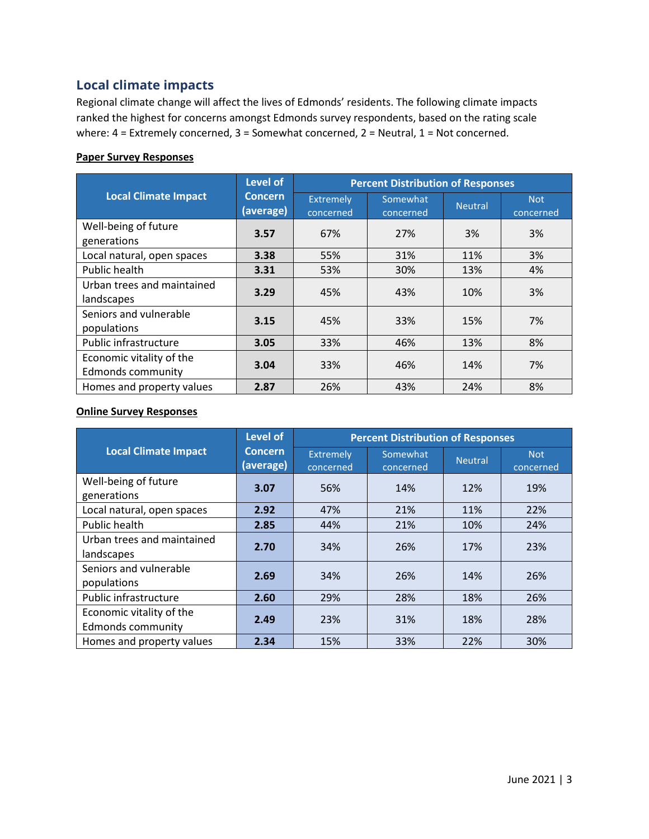### **Local climate impacts**

Regional climate change will affect the lives of Edmonds' residents. The following climate impacts ranked the highest for concerns amongst Edmonds survey respondents, based on the rating scale where: 4 = Extremely concerned, 3 = Somewhat concerned, 2 = Neutral, 1 = Not concerned.

#### **Paper Survey Responses**

|                                                      | <b>Level of</b>             | <b>Percent Distribution of Responses</b> |                       |                |                         |  |
|------------------------------------------------------|-----------------------------|------------------------------------------|-----------------------|----------------|-------------------------|--|
| <b>Local Climate Impact</b>                          | <b>Concern</b><br>(average) | <b>Extremely</b><br>concerned            | Somewhat<br>concerned | <b>Neutral</b> | <b>Not</b><br>concerned |  |
| Well-being of future<br>generations                  | 3.57                        | 67%                                      | 27%                   | 3%             | 3%                      |  |
| Local natural, open spaces                           | 3.38                        | 55%                                      | 31%                   | 11%            | 3%                      |  |
| Public health                                        | 3.31                        | 53%                                      | 30%                   | 13%            | 4%                      |  |
| Urban trees and maintained<br>landscapes             | 3.29                        | 45%                                      | 43%                   | 10%            | 3%                      |  |
| Seniors and vulnerable<br>populations                | 3.15                        | 45%                                      | 33%                   | 15%            | 7%                      |  |
| Public infrastructure                                | 3.05                        | 33%                                      | 46%                   | 13%            | 8%                      |  |
| Economic vitality of the<br><b>Edmonds community</b> | 3.04                        | 33%                                      | 46%                   | 14%            | 7%                      |  |
| Homes and property values                            | 2.87                        | 26%                                      | 43%                   | 24%            | 8%                      |  |

#### **Online Survey Responses**

|                                                      | <b>Level of</b>             | <b>Percent Distribution of Responses</b> |                       |                |                         |  |
|------------------------------------------------------|-----------------------------|------------------------------------------|-----------------------|----------------|-------------------------|--|
| <b>Local Climate Impact</b>                          | <b>Concern</b><br>(average) | Extremely<br>concerned                   | Somewhat<br>concerned | <b>Neutral</b> | <b>Not</b><br>concerned |  |
| Well-being of future<br>generations                  | 3.07                        | 56%                                      | 14%                   | 12%            | 19%                     |  |
| Local natural, open spaces                           | 2.92                        | 47%                                      | 21%                   | 11%            | 22%                     |  |
| Public health                                        | 2.85                        | 44%                                      | 21%                   | 10%            | 24%                     |  |
| Urban trees and maintained<br>landscapes             | 2.70                        | 34%                                      | 26%                   | 17%            | 23%                     |  |
| Seniors and vulnerable<br>populations                | 2.69                        | 34%                                      | 26%                   | 14%            | 26%                     |  |
| Public infrastructure                                | 2.60                        | 29%                                      | 28%                   | 18%            | 26%                     |  |
| Economic vitality of the<br><b>Edmonds community</b> | 2.49                        | 23%                                      | 31%                   | 18%            | 28%                     |  |
| Homes and property values                            | 2.34                        | 15%                                      | 33%                   | 22%            | 30%                     |  |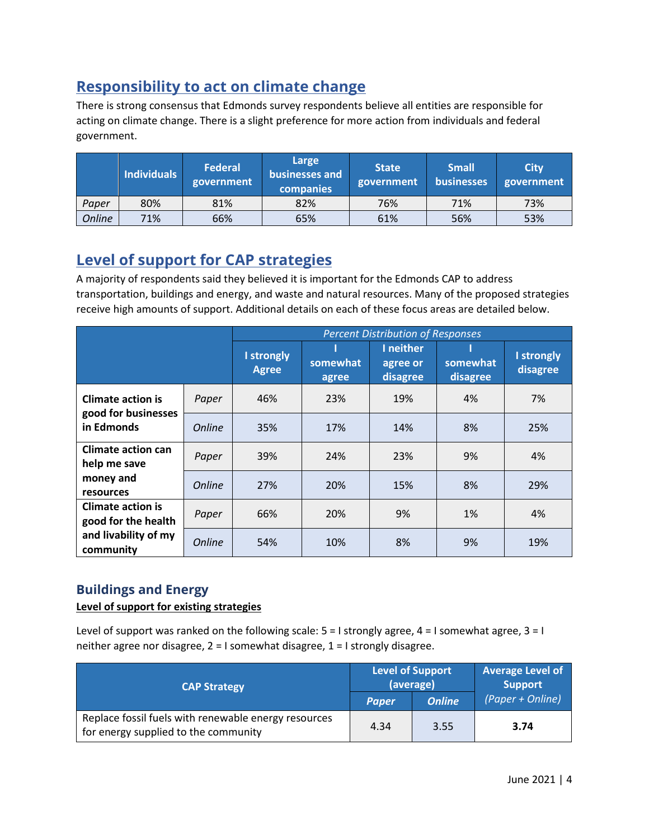# **Responsibility to act on climate change**

There is strong consensus that Edmonds survey respondents believe all entities are responsible for acting on climate change. There is a slight preference for more action from individuals and federal government.

|               | <b>Individuals</b> | Federal<br>government | Large<br>businesses and<br><b>companies</b> | <b>State</b><br>government | <b>Small</b><br><b>businesses</b> | <b>City</b><br>government |
|---------------|--------------------|-----------------------|---------------------------------------------|----------------------------|-----------------------------------|---------------------------|
| Paper         | 80%                | 81%                   | 82%                                         | 76%                        | 71%                               | 73%                       |
| <b>Online</b> | 71%                | 66%                   | 65%                                         | 61%                        | 56%                               | 53%                       |

# **Level of support for CAP strategies**

A majority of respondents said they believed it is important for the Edmonds CAP to address transportation, buildings and energy, and waste and natural resources. Many of the proposed strategies receive high amounts of support. Additional details on each of these focus areas are detailed below.

|                                                 |               |                            |                   | <b>Percent Distribution of Responses</b> |                      |                        |
|-------------------------------------------------|---------------|----------------------------|-------------------|------------------------------------------|----------------------|------------------------|
|                                                 |               | I strongly<br><b>Agree</b> | somewhat<br>agree | I neither<br>agree or<br>disagree        | somewhat<br>disagree | I strongly<br>disagree |
| <b>Climate action is</b>                        | Paper         | 46%                        | 23%               | 19%                                      | 4%                   | 7%                     |
| good for businesses<br>in Edmonds               | <b>Online</b> | 35%                        | 17%               | 14%                                      | 8%                   | 25%                    |
| <b>Climate action can</b><br>help me save       | Paper         | 39%                        | 24%               | 23%                                      | 9%                   | 4%                     |
| money and<br>resources                          | <b>Online</b> | 27%                        | 20%               | 15%                                      | 8%                   | 29%                    |
| <b>Climate action is</b><br>good for the health | Paper         | 66%                        | 20%               | 9%                                       | 1%                   | 4%                     |
| and livability of my<br>community               | <b>Online</b> | 54%                        | 10%               | 8%                                       | 9%                   | 19%                    |

### **Buildings and Energy**

#### **Level of support for existing strategies**

Level of support was ranked on the following scale:  $5 = 1$  strongly agree,  $4 = 1$  somewhat agree,  $3 = 1$ neither agree nor disagree, 2 = I somewhat disagree, 1 = I strongly disagree.

| <b>CAP Strategy</b>                                                                          |              | <b>Level of Support</b><br>(average) | <b>Average Level of</b><br><b>Support</b> |  |
|----------------------------------------------------------------------------------------------|--------------|--------------------------------------|-------------------------------------------|--|
|                                                                                              | <b>Paper</b> | <b>Online</b>                        | (Paper + Online)                          |  |
| Replace fossil fuels with renewable energy resources<br>for energy supplied to the community | 4.34         | 3.55                                 | 3.74                                      |  |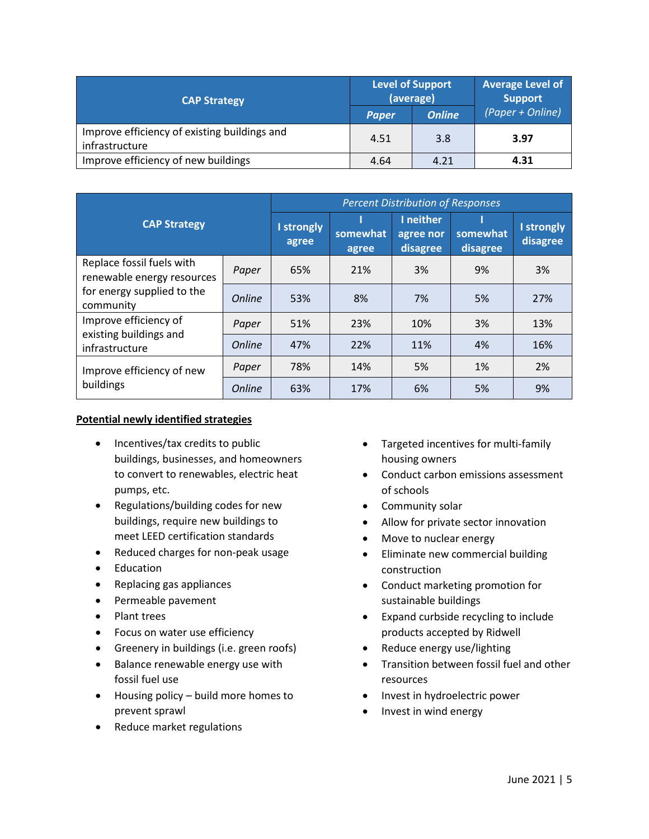| <b>CAP Strategy</b>                                            |              | <b>Level of Support</b><br>(average) | <b>Average Level of</b><br><b>Support</b> |  |
|----------------------------------------------------------------|--------------|--------------------------------------|-------------------------------------------|--|
|                                                                | <b>Paper</b> | <b>Online</b>                        | (Paper + Online)                          |  |
| Improve efficiency of existing buildings and<br>infrastructure | 4.51         | 3.8                                  | 3.97                                      |  |
| Improve efficiency of new buildings                            | 4.64         | 4.21                                 | 4.31                                      |  |

|                                                         |               | <b>Percent Distribution of Responses</b> |                   |                                    |                      |                        |  |
|---------------------------------------------------------|---------------|------------------------------------------|-------------------|------------------------------------|----------------------|------------------------|--|
| <b>CAP Strategy</b>                                     |               | <b>I</b> strongly<br>agree               | somewhat<br>agree | I neither<br>agree nor<br>disagree | somewhat<br>disagree | I strongly<br>disagree |  |
| Replace fossil fuels with<br>renewable energy resources | Paper         | 65%                                      | 21%               | 3%                                 | 9%                   | 3%                     |  |
| for energy supplied to the<br>community                 | <b>Online</b> | 53%                                      | 8%                | 7%                                 | 5%                   | 27%                    |  |
| Improve efficiency of                                   | Paper         | 51%                                      | 23%               | 10%                                | 3%                   | 13%                    |  |
| existing buildings and<br>infrastructure                | <b>Online</b> | 47%                                      | 22%               | 11%                                | 4%                   | 16%                    |  |
| Improve efficiency of new                               | Paper         | 78%                                      | 14%               | 5%                                 | 1%                   | 2%                     |  |
| buildings                                               | <b>Online</b> | 63%                                      | 17%               | 6%                                 | 5%                   | 9%                     |  |

#### **Potential newly identified strategies**

- Incentives/tax credits to public buildings, businesses, and homeowners to convert to renewables, electric heat pumps, etc.
- Regulations/building codes for new buildings, require new buildings to meet LEED certification standards
- Reduced charges for non-peak usage
- Education
- Replacing gas appliances
- Permeable pavement
- Plant trees
- Focus on water use efficiency
- Greenery in buildings (i.e. green roofs)
- Balance renewable energy use with fossil fuel use
- Housing policy build more homes to prevent sprawl
- Reduce market regulations
- Targeted incentives for multi-family housing owners
- Conduct carbon emissions assessment of schools
- Community solar
- Allow for private sector innovation
- Move to nuclear energy
- Eliminate new commercial building construction
- Conduct marketing promotion for sustainable buildings
- Expand curbside recycling to include products accepted by Ridwell
- Reduce energy use/lighting
- Transition between fossil fuel and other resources
- Invest in hydroelectric power
- Invest in wind energy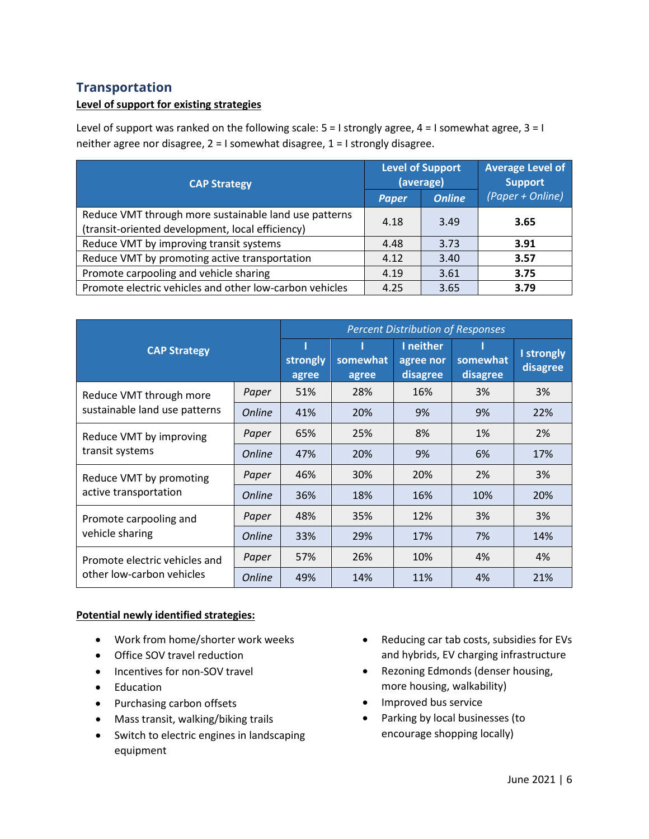### **Transportation**

#### **Level of support for existing strategies**

Level of support was ranked on the following scale:  $5 = 1$  strongly agree,  $4 = 1$  somewhat agree,  $3 = 1$ neither agree nor disagree, 2 = I somewhat disagree, 1 = I strongly disagree.

| <b>CAP Strategy</b>                                                                                       |              | <b>Level of Support</b><br>(average) | <b>Average Level of</b><br><b>Support</b> |
|-----------------------------------------------------------------------------------------------------------|--------------|--------------------------------------|-------------------------------------------|
|                                                                                                           | <b>Paper</b> | <b>Online</b>                        | (Paper + Online)                          |
| Reduce VMT through more sustainable land use patterns<br>(transit-oriented development, local efficiency) | 4.18         | 3.49                                 | 3.65                                      |
| Reduce VMT by improving transit systems                                                                   | 4.48         | 3.73                                 | 3.91                                      |
| Reduce VMT by promoting active transportation                                                             | 4.12         | 3.40                                 | 3.57                                      |
| Promote carpooling and vehicle sharing                                                                    | 4.19         | 3.61                                 | 3.75                                      |
| Promote electric vehicles and other low-carbon vehicles                                                   | 4.25         | 3.65                                 | 3.79                                      |

| <b>CAP Strategy</b>                                        |               | <b>Percent Distribution of Responses</b> |                   |                                    |                      |                        |  |
|------------------------------------------------------------|---------------|------------------------------------------|-------------------|------------------------------------|----------------------|------------------------|--|
|                                                            |               | strongly<br>agree                        | somewhat<br>agree | I neither<br>agree nor<br>disagree | somewhat<br>disagree | I strongly<br>disagree |  |
| Reduce VMT through more                                    | Paper         | 51%                                      | 28%               | 16%                                | 3%                   | 3%                     |  |
| sustainable land use patterns                              | <b>Online</b> | 41%                                      | 20%               | 9%                                 | 9%                   | 22%                    |  |
| Reduce VMT by improving<br>transit systems                 | Paper         | 65%                                      | 25%               | 8%                                 | 1%                   | 2%                     |  |
|                                                            | <b>Online</b> | 47%                                      | 20%               | 9%                                 | 6%                   | 17%                    |  |
| Reduce VMT by promoting<br>active transportation           | Paper         | 46%                                      | 30%               | 20%                                | 2%                   | 3%                     |  |
|                                                            | <b>Online</b> | 36%                                      | 18%               | 16%                                | 10%                  | 20%                    |  |
| Promote carpooling and<br>vehicle sharing                  | Paper         | 48%                                      | 35%               | 12%                                | 3%                   | 3%                     |  |
|                                                            | <b>Online</b> | 33%                                      | 29%               | 17%                                | 7%                   | 14%                    |  |
| Promote electric vehicles and<br>other low-carbon vehicles | Paper         | 57%                                      | 26%               | 10%                                | 4%                   | 4%                     |  |
|                                                            | <b>Online</b> | 49%                                      | 14%               | 11%                                | 4%                   | 21%                    |  |

#### **Potential newly identified strategies:**

- Work from home/shorter work weeks
- Office SOV travel reduction
- Incentives for non-SOV travel
- Education
- Purchasing carbon offsets
- Mass transit, walking/biking trails
- Switch to electric engines in landscaping equipment
- Reducing car tab costs, subsidies for EVs and hybrids, EV charging infrastructure
- Rezoning Edmonds (denser housing, more housing, walkability)
- Improved bus service
- Parking by local businesses (to encourage shopping locally)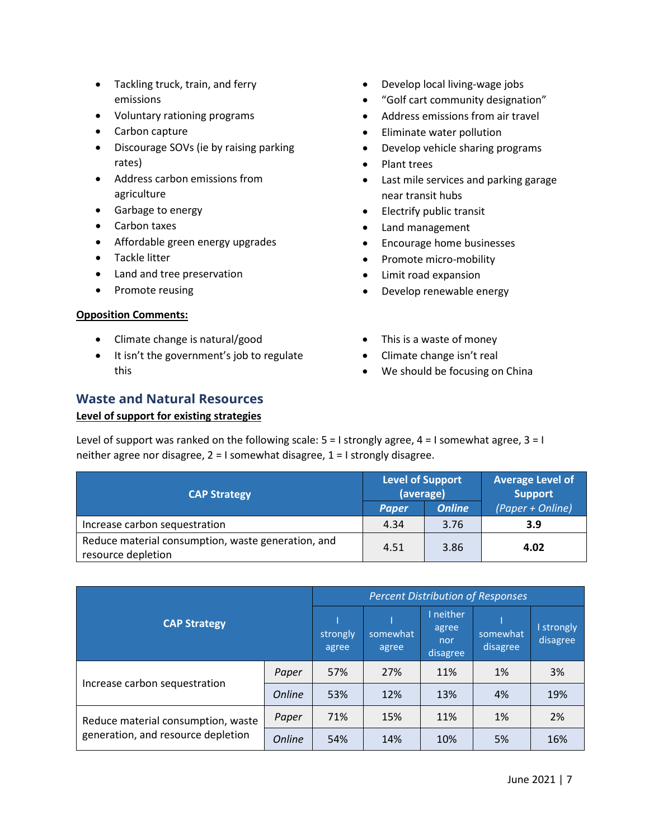- Tackling truck, train, and ferry emissions
- Voluntary rationing programs
- Carbon capture
- Discourage SOVs (ie by raising parking rates)
- Address carbon emissions from agriculture
- Garbage to energy
- Carbon taxes
- Affordable green energy upgrades
- Tackle litter
- Land and tree preservation
- Promote reusing

#### **Opposition Comments:**

- Climate change is natural/good
- It isn't the government's job to regulate this
- Develop local living-wage jobs
- "Golf cart community designation"
- Address emissions from air travel
- Eliminate water pollution
- Develop vehicle sharing programs
- Plant trees
- Last mile services and parking garage near transit hubs
- Electrify public transit
- Land management
- Encourage home businesses
- Promote micro-mobility
- Limit road expansion
- Develop renewable energy
- This is a waste of money
- Climate change isn't real
- We should be focusing on China

#### **Waste and Natural Resources**

#### **Level of support for existing strategies**

Level of support was ranked on the following scale:  $5 = 1$  strongly agree,  $4 = 1$  somewhat agree,  $3 = 1$ neither agree nor disagree, 2 = I somewhat disagree, 1 = I strongly disagree.

| <b>CAP Strategy</b>                                                      | <b>Level of Support</b><br>(average) |               | <b>Average Level of</b><br><b>Support</b> |  |
|--------------------------------------------------------------------------|--------------------------------------|---------------|-------------------------------------------|--|
|                                                                          | <b>Paper</b>                         | <b>Online</b> | (Paper + Online)                          |  |
| Increase carbon sequestration                                            | 4.34                                 | 3.76          | 3.9                                       |  |
| Reduce material consumption, waste generation, and<br>resource depletion | 4.51                                 | 3.86          | 4.02                                      |  |

|                                    | <b>Percent Distribution of Responses</b> |                   |                   |                                       |                      |                        |
|------------------------------------|------------------------------------------|-------------------|-------------------|---------------------------------------|----------------------|------------------------|
| <b>CAP Strategy</b>                |                                          | strongly<br>agree | somewhat<br>agree | I neither<br>agree<br>nor<br>disagree | somewhat<br>disagree | I strongly<br>disagree |
|                                    | Paper                                    | 57%               | 27%               | 11%                                   | 1%                   | 3%                     |
| Increase carbon sequestration      | <b>Online</b>                            | 53%               | 12%               | 13%                                   | 4%                   | 19%                    |
| Reduce material consumption, waste | Paper                                    | 71%               | 15%               | 11%                                   | 1%                   | 2%                     |
| generation, and resource depletion | <b>Online</b>                            | 54%               | 14%               | 10%                                   | 5%                   | 16%                    |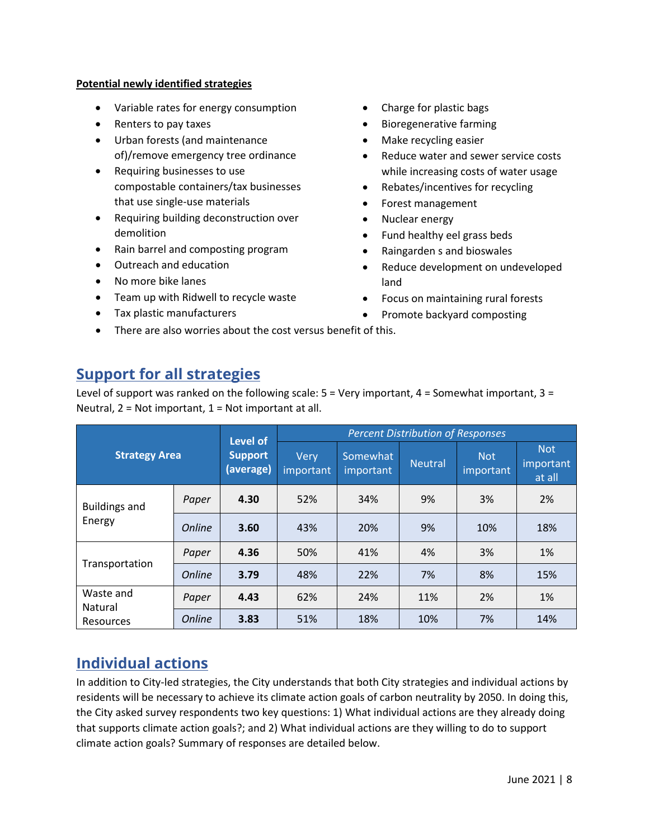#### **Potential newly identified strategies**

- Variable rates for energy consumption
- Renters to pay taxes
- Urban forests (and maintenance of)/remove emergency tree ordinance
- Requiring businesses to use compostable containers/tax businesses that use single-use materials
- Requiring building deconstruction over demolition
- Rain barrel and composting program
- Outreach and education
- No more bike lanes
- Team up with Ridwell to recycle waste

• There are also worries about the cost versus benefit of this.

• Tax plastic manufacturers

- Charge for plastic bags
- Bioregenerative farming
- Make recycling easier
- Reduce water and sewer service costs while increasing costs of water usage
- Rebates/incentives for recycling
- Forest management
- Nuclear energy
- Fund healthy eel grass beds
- Raingarden s and bioswales
- Reduce development on undeveloped land
- Focus on maintaining rural forests
- Promote backyard composting

# **Support for all strategies**

Level of support was ranked on the following scale:  $5 =$  Very important,  $4 =$  Somewhat important,  $3 =$ Neutral,  $2 = Not important$ ,  $1 = Not important$  at all.

| <b>Strategy Area</b>              |               | Level of                    | <b>Percent Distribution of Responses</b> |                       |                |                         |                                   |  |
|-----------------------------------|---------------|-----------------------------|------------------------------------------|-----------------------|----------------|-------------------------|-----------------------------------|--|
|                                   |               | <b>Support</b><br>(average) | <b>Very</b><br>important                 | Somewhat<br>important | <b>Neutral</b> | <b>Not</b><br>important | <b>Not</b><br>important<br>at all |  |
| <b>Buildings and</b>              | Paper         | 4.30                        | 52%                                      | 34%                   | 9%             | 3%                      | 2%                                |  |
| Energy                            | <b>Online</b> | 3.60                        | 43%                                      | 20%                   | 9%             | 10%                     | 18%                               |  |
|                                   | Paper         | 4.36                        | 50%                                      | 41%                   | 4%             | 3%                      | 1%                                |  |
| Transportation                    | <b>Online</b> | 3.79                        | 48%                                      | 22%                   | 7%             | 8%                      | 15%                               |  |
| Waste and<br>Natural<br>Resources | Paper         | 4.43                        | 62%                                      | 24%                   | 11%            | 2%                      | 1%                                |  |
|                                   | <b>Online</b> | 3.83                        | 51%                                      | 18%                   | 10%            | 7%                      | 14%                               |  |

# **Individual actions**

In addition to City-led strategies, the City understands that both City strategies and individual actions by residents will be necessary to achieve its climate action goals of carbon neutrality by 2050. In doing this, the City asked survey respondents two key questions: 1) What individual actions are they already doing that supports climate action goals?; and 2) What individual actions are they willing to do to support climate action goals? Summary of responses are detailed below.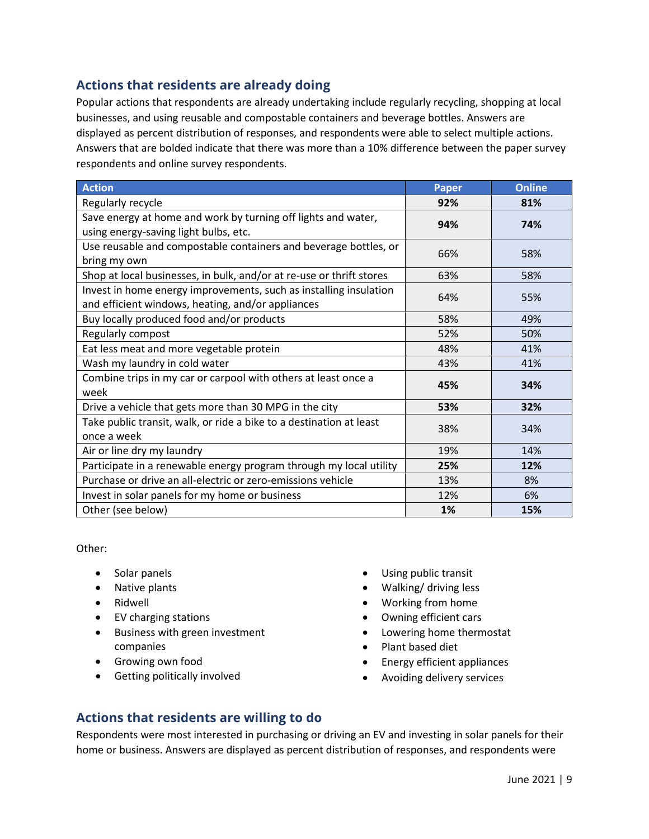### **Actions that residents are already doing**

Popular actions that respondents are already undertaking include regularly recycling, shopping at local businesses, and using reusable and compostable containers and beverage bottles. Answers are displayed as percent distribution of responses, and respondents were able to select multiple actions. Answers that are bolded indicate that there was more than a 10% difference between the paper survey respondents and online survey respondents.

| <b>Action</b>                                                                                                          | <b>Paper</b> | <b>Online</b> |
|------------------------------------------------------------------------------------------------------------------------|--------------|---------------|
| Regularly recycle                                                                                                      | 92%          | 81%           |
| Save energy at home and work by turning off lights and water,<br>using energy-saving light bulbs, etc.                 | 94%          | 74%           |
| Use reusable and compostable containers and beverage bottles, or<br>bring my own                                       | 66%          | 58%           |
| Shop at local businesses, in bulk, and/or at re-use or thrift stores                                                   | 63%          | 58%           |
| Invest in home energy improvements, such as installing insulation<br>and efficient windows, heating, and/or appliances | 64%          | 55%           |
| Buy locally produced food and/or products                                                                              | 58%          | 49%           |
| Regularly compost                                                                                                      | 52%          | 50%           |
| Eat less meat and more vegetable protein                                                                               | 48%          | 41%           |
| Wash my laundry in cold water                                                                                          | 43%          | 41%           |
| Combine trips in my car or carpool with others at least once a<br>week                                                 | 45%          | 34%           |
| Drive a vehicle that gets more than 30 MPG in the city                                                                 | 53%          | 32%           |
| Take public transit, walk, or ride a bike to a destination at least<br>once a week                                     | 38%          | 34%           |
| Air or line dry my laundry                                                                                             | 19%          | 14%           |
| Participate in a renewable energy program through my local utility                                                     | 25%          | 12%           |
| Purchase or drive an all-electric or zero-emissions vehicle                                                            | 13%          | 8%            |
| Invest in solar panels for my home or business                                                                         | 12%          | 6%            |
| Other (see below)                                                                                                      | 1%           | 15%           |

Other:

- Solar panels
- Native plants
- Ridwell
- EV charging stations
- Business with green investment companies
- Growing own food
- Getting politically involved
- Using public transit
- Walking/ driving less
- Working from home
- Owning efficient cars
- Lowering home thermostat
- Plant based diet
- Energy efficient appliances
- Avoiding delivery services

### **Actions that residents are willing to do**

Respondents were most interested in purchasing or driving an EV and investing in solar panels for their home or business. Answers are displayed as percent distribution of responses, and respondents were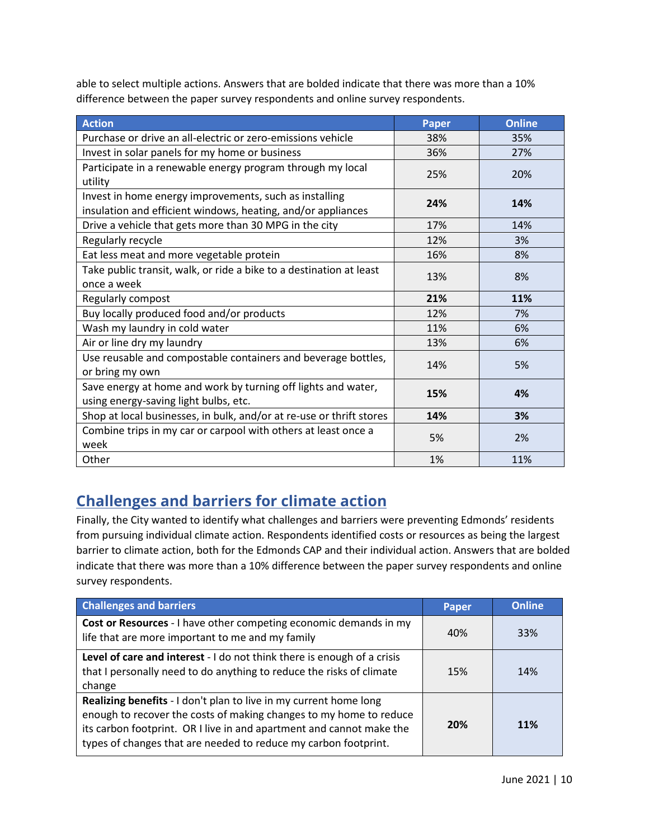able to select multiple actions. Answers that are bolded indicate that there was more than a 10% difference between the paper survey respondents and online survey respondents.

| <b>Action</b>                                                                                                          | <b>Paper</b> | <b>Online</b> |
|------------------------------------------------------------------------------------------------------------------------|--------------|---------------|
| Purchase or drive an all-electric or zero-emissions vehicle                                                            | 38%          | 35%           |
| Invest in solar panels for my home or business                                                                         | 36%          | 27%           |
| Participate in a renewable energy program through my local<br>utility                                                  | 25%          | 20%           |
| Invest in home energy improvements, such as installing<br>insulation and efficient windows, heating, and/or appliances | 24%          | 14%           |
| Drive a vehicle that gets more than 30 MPG in the city                                                                 | 17%          | 14%           |
| Regularly recycle                                                                                                      | 12%          | 3%            |
| Eat less meat and more vegetable protein                                                                               | 16%          | 8%            |
| Take public transit, walk, or ride a bike to a destination at least<br>once a week                                     | 13%          | 8%            |
| Regularly compost                                                                                                      | 21%          | 11%           |
| Buy locally produced food and/or products                                                                              | 12%          | 7%            |
| Wash my laundry in cold water                                                                                          | 11%          | 6%            |
| Air or line dry my laundry                                                                                             | 13%          | 6%            |
| Use reusable and compostable containers and beverage bottles,<br>or bring my own                                       | 14%          | 5%            |
| Save energy at home and work by turning off lights and water,<br>using energy-saving light bulbs, etc.                 | 15%          | 4%            |
| Shop at local businesses, in bulk, and/or at re-use or thrift stores                                                   | 14%          | 3%            |
| Combine trips in my car or carpool with others at least once a<br>week                                                 | 5%           | 2%            |
| Other                                                                                                                  | 1%           | 11%           |

# **Challenges and barriers for climate action**

Finally, the City wanted to identify what challenges and barriers were preventing Edmonds' residents from pursuing individual climate action. Respondents identified costs or resources as being the largest barrier to climate action, both for the Edmonds CAP and their individual action. Answers that are bolded indicate that there was more than a 10% difference between the paper survey respondents and online survey respondents.

| <b>Challenges and barriers</b>                                                                                                                                                                                                                                                     | Paper | <b>Online</b> |
|------------------------------------------------------------------------------------------------------------------------------------------------------------------------------------------------------------------------------------------------------------------------------------|-------|---------------|
| Cost or Resources - I have other competing economic demands in my<br>life that are more important to me and my family                                                                                                                                                              | 40%   | 33%           |
| Level of care and interest - I do not think there is enough of a crisis<br>that I personally need to do anything to reduce the risks of climate<br>change                                                                                                                          | 15%   | 14%           |
| Realizing benefits - I don't plan to live in my current home long<br>enough to recover the costs of making changes to my home to reduce<br>its carbon footprint. OR I live in and apartment and cannot make the<br>types of changes that are needed to reduce my carbon footprint. | 20%   | <b>11%</b>    |